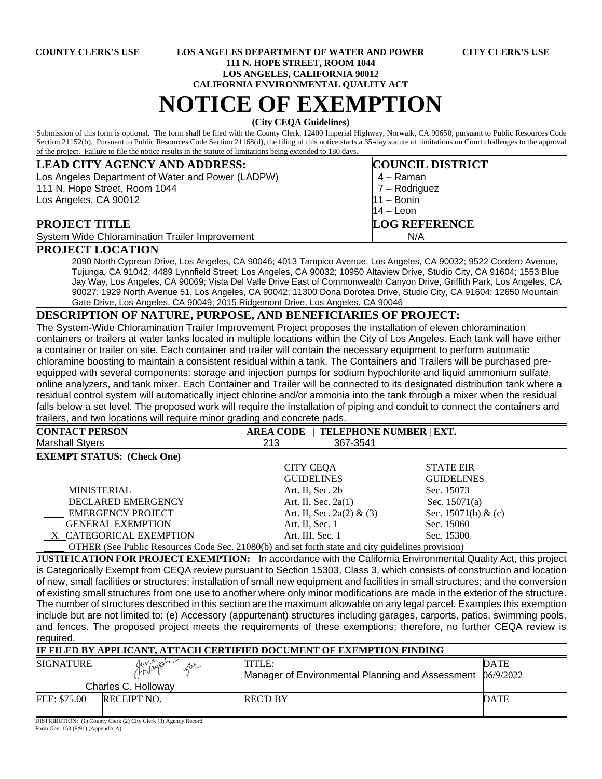## **COUNTY CLERK'S USE LOS ANGELES DEPARTMENT OF WATER AND POWER CITY CLERK'S USE 111 N. HOPE STREET, ROOM 1044 LOS ANGELES, CALIFORNIA 90012**

**CALIFORNIA ENVIRONMENTAL QUALITY ACT**

## **NOTICE OF EXEMPTION**

**(City CEQA Guidelines)**

Submission of this form is optional. The form shall be filed with the County Clerk, 12400 Imperial Highway, Norwalk, CA 90650, pursuant to Public Resources Code Section 21152(b). Pursuant to Public Resources Code Section 21168(d), the filing of this notice starts a 35-day statute of limitations on Court challenges to the approval of the project. Failure to file the notice results in the statute of limitations being extended to 180 days.

| <b>LEAD CITY AGENCY AND ADDRESS:</b>              | <b>COUNCIL DISTRICT</b> |
|---------------------------------------------------|-------------------------|
| Los Angeles Department of Water and Power (LADPW) | 4 – Raman               |
| 111 N. Hope Street, Room 1044                     | $7 -$ Rodriguez         |
| Los Angeles, CA 90012                             | $11 - \text{Bonin}$     |
|                                                   | $14 -$ Leon             |
| <b>PROJECT TITLE</b>                              | <b>LOG REFERENCE</b>    |
| System Wide Chloramination Trailer Improvement    | N/A                     |

## **PROJECT LOCATION**

2090 North Cyprean Drive, Los Angeles, CA 90046; 4013 Tampico Avenue, Los Angeles, CA 90032; 9522 Cordero Avenue, Tujunga, CA 91042; 4489 Lynnfield Street, Los Angeles, CA 90032; 10950 Altaview Drive, Studio City, CA 91604; 1553 Blue Jay Way, Los Angeles, CA 90069; Vista Del Valle Drive East of Commonwealth Canyon Drive, Griffith Park, Los Angeles, CA 90027; 1929 North Avenue 51, Los Angeles, CA 90042; 11300 Dona Dorotea Drive, Studio City, CA 91604; 12650 Mountain Gate Drive, Los Angeles, CA 90049; 2015 Ridgemont Drive, Los Angeles, CA 90046

## **DESCRIPTION OF NATURE, PURPOSE, AND BENEFICIARIES OF PROJECT:**

The System-Wide Chloramination Trailer Improvement Project proposes the installation of eleven chloramination containers or trailers at water tanks located in multiple locations within the City of Los Angeles. Each tank will have either a container or trailer on site. Each container and trailer will contain the necessary equipment to perform automatic chloramine boosting to maintain a consistent residual within a tank. The Containers and Trailers will be purchased preequipped with several components: storage and injection pumps for sodium hypochlorite and liquid ammonium sulfate, online analyzers, and tank mixer. Each Container and Trailer will be connected to its designated distribution tank where a residual control system will automatically inject chlorine and/or ammonia into the tank through a mixer when the residual falls below a set level. The proposed work will require the installation of piping and conduit to connect the containers and trailers, and two locations will require minor grading and concrete pads.

| <b>CONTACT PERSON</b>                                                                                                                                                                                                          | TELEPHONE NUMBER   EXT.<br><b>AREA CODE</b> |                     |  |
|--------------------------------------------------------------------------------------------------------------------------------------------------------------------------------------------------------------------------------|---------------------------------------------|---------------------|--|
| <b>Marshall Styers</b>                                                                                                                                                                                                         | 367-3541<br>213                             |                     |  |
| <b>EXEMPT STATUS: (Check One)</b>                                                                                                                                                                                              |                                             |                     |  |
|                                                                                                                                                                                                                                | <b>CITY CEQA</b>                            | <b>STATE EIR</b>    |  |
|                                                                                                                                                                                                                                | <b>GUIDELINES</b>                           | <b>GUIDELINES</b>   |  |
| <b>MINISTERIAL</b>                                                                                                                                                                                                             | Art. II, Sec. 2b                            | Sec. 15073          |  |
| DECLARED EMERGENCY                                                                                                                                                                                                             | Art. II, Sec. $2a(1)$                       | Sec. $15071(a)$     |  |
| <b>EMERGENCY PROJECT</b>                                                                                                                                                                                                       | Art. II, Sec. 2a(2) & (3)                   | Sec. 15071(b) & (c) |  |
| GENERAL EXEMPTION                                                                                                                                                                                                              | Art. II, Sec. 1                             | Sec. 15060          |  |
| X CATEGORICAL EXEMPTION                                                                                                                                                                                                        | Art. III, Sec. 1                            | Sec. 15300          |  |
| $Q$ THED $(0, 0, 0)$ below $Q$ and $Q$ and $Q$ and $Q$ and $Q$ and $Q$ and $Q$ and $Q$ and $Q$ and $Q$ and $Q$ and $Q$ and $Q$ and $Q$ and $Q$ and $Q$ and $Q$ and $Q$ and $Q$ and $Q$ and $Q$ and $Q$ and $Q$ and $Q$ and $Q$ |                                             |                     |  |

OTHER (See Public Resources Code Sec. 21080(b) and set forth state and city guidelines provision)

**JUSTIFICATION FOR PROJECT EXEMPTION:** In accordance with the California Environmental Quality Act, this project is Categorically Exempt from CEQA review pursuant to Section 15303, Class 3, which consists of construction and location of new, small facilities or structures; installation of small new equipment and facilities in small structures; and the conversion of existing small structures from one use to another where only minor modifications are made in the exterior of the structure. The number of structures described in this section are the maximum allowable on any legal parcel. Examples this exemption include but are not limited to: (e) Accessory (appurtenant) structures including garages, carports, patios, swimming pools, and fences. The proposed project meets the requirements of these exemptions; therefore, no further CEQA review is required.

| IF FILED BY APPLICANT, ATTACH CERTIFIED DOCUMENT OF EXEMPTION FINDING |                                                      |                                                                      |             |  |  |
|-----------------------------------------------------------------------|------------------------------------------------------|----------------------------------------------------------------------|-------------|--|--|
| <b>SIGNATURE</b>                                                      | Janeigh<br>$\mathcal{L}^{oL}$<br>Charles C. Holloway | TITLE:<br>Manager of Environmental Planning and Assessment 06/9/2022 | <b>DATE</b> |  |  |
| FEE: \$75.00                                                          | RECEIPT NO.                                          | <b>REC'D BY</b>                                                      | <b>DATE</b> |  |  |

DISTRIBUTION: (1) County Clerk (2) City Clerk (3) Agency Record Form Gen. 153 (9/91) (Appendix A)